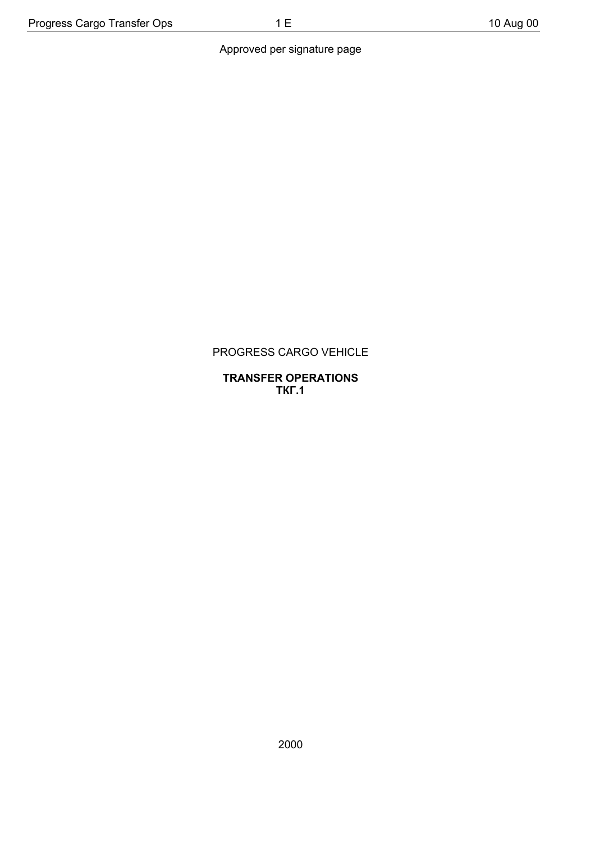## Approved per signature page

## PROGRESS CARGO VEHICLE

#### **TRANSFER OPERATIONS ТКГ.1**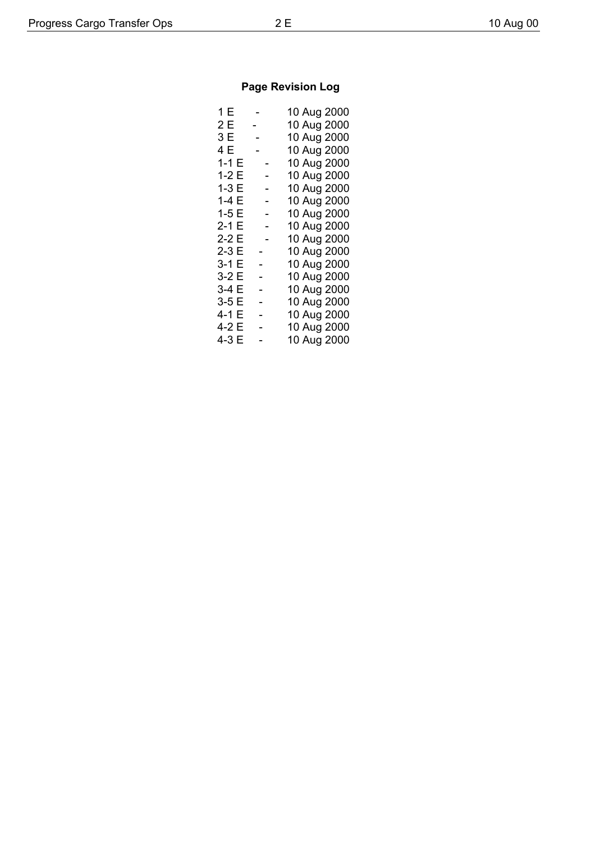# **Page Revision Log**

| 1 E    | $\overline{\phantom{a}}$ | 10 Aug 2000 |
|--------|--------------------------|-------------|
| 2 E    | $\sim$                   | 10 Aug 2000 |
| 3 E    | $\sim$                   | 10 Aug 2000 |
| 4 E    | $\sim$                   | 10 Aug 2000 |
| $1-1E$ |                          | 10 Aug 2000 |
| 1-2 E  |                          | 10 Aug 2000 |
| $1-3E$ |                          | 10 Aug 2000 |
| 1-4 E  |                          | 10 Aug 2000 |
| $1-5E$ |                          | 10 Aug 2000 |
| 2-1 E  |                          | 10 Aug 2000 |
| 2-2 E  |                          | 10 Aug 2000 |
| $2-3E$ |                          | 10 Aug 2000 |
| 3-1 E  |                          | 10 Aug 2000 |
| 3-2 E  | -                        | 10 Aug 2000 |
| 3-4 E  |                          | 10 Aug 2000 |
| $3-5E$ |                          | 10 Aug 2000 |
| 4-1 E  | <sup>-</sup>             | 10 Aug 2000 |
| 4-2 E  |                          | 10 Aug 2000 |
| 4-3 E  |                          | 10 Aug 2000 |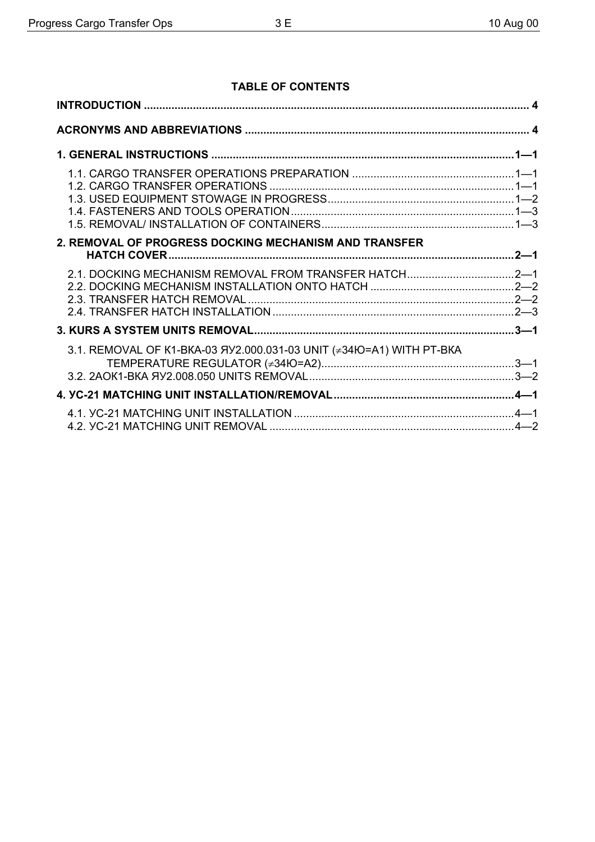## **TABLE OF CONTENTS**

| 2. REMOVAL OF PROGRESS DOCKING MECHANISM AND TRANSFER               |  |
|---------------------------------------------------------------------|--|
|                                                                     |  |
|                                                                     |  |
| 3.1. REMOVAL OF K1-BKA-03 ЯУ2.000.031-03 UNIT (≠34Ю=А1) WITH PT-BKA |  |
|                                                                     |  |
|                                                                     |  |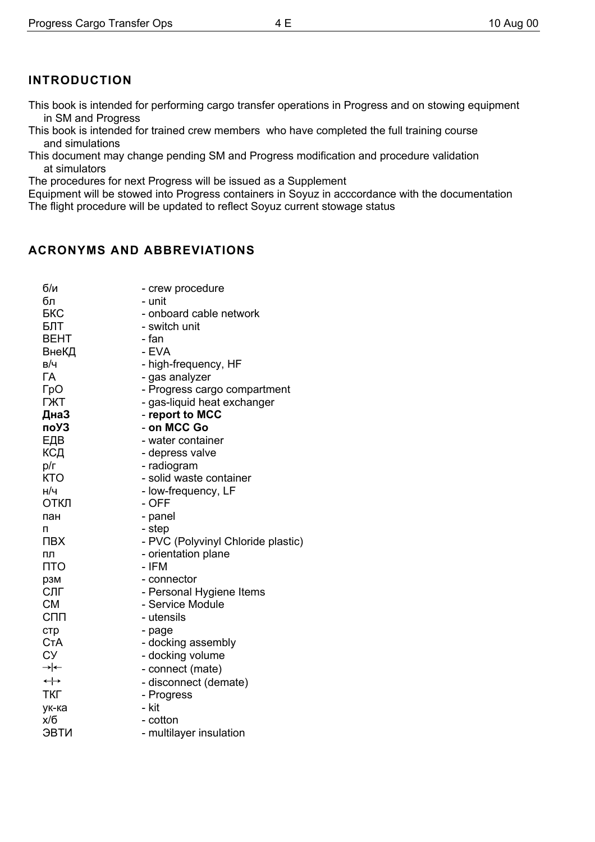# **INTRODUCTION**

This book is intended for performing cargo transfer operations in Progress and on stowing equipment in SM and Progress

This book is intended for trained crew members who have completed the full training course and simulations

This document may change pending SM and Progress modification and procedure validation at simulators

The procedures for next Progress will be issued as a Supplement

Equipment will be stowed into Progress containers in Soyuz in acccordance with the documentation The flight procedure will be updated to reflect Soyuz current stowage status

## **ACRONYMS AND ABBREVIATIONS**

| б/и               | - crew procedure                   |
|-------------------|------------------------------------|
| бл                | - unit                             |
| БКС               | - onboard cable network            |
| БЛТ               | - switch unit                      |
| BEHT              | - fan                              |
| ВнеКД             | - EVA                              |
| в/ч               | - high-frequency, HF               |
| ГA                | - gas analyzer                     |
| ГрО               | - Progress cargo compartment       |
| <b>TXT</b>        | - gas-liquid heat exchanger        |
| ДнаЗ              | - report to MCC                    |
| поУЗ              | - on MCC Go                        |
| ЕДВ               | - water container                  |
| КСД               | - depress valve                    |
| p/r               | - radiogram                        |
| <b>KTO</b>        | - solid waste container            |
| н/ч               | - low-frequency, LF                |
| ОТКЛ              | - OFF                              |
| пан               | - panel                            |
| п                 | - step                             |
| ПВХ               | - PVC (Polyvinyl Chloride plastic) |
| пл                | - orientation plane                |
| <b>NTO</b>        | - IFM                              |
| рзм               | - connector                        |
| СЛГ               | - Personal Hygiene Items           |
| <b>CM</b>         | - Service Module                   |
| СПП               | - utensils                         |
| <b>CTD</b>        | - page                             |
| СтА               | - docking assembly                 |
| СУ                | - docking volume                   |
| →∣←               | - connect (mate)                   |
| $\leftrightarrow$ | - disconnect (demate)              |
| <b>TKF</b>        | - Progress                         |
| ук-ка             | - kit                              |
| x/6               | - cotton                           |
| ЭВТИ              | - multilayer insulation            |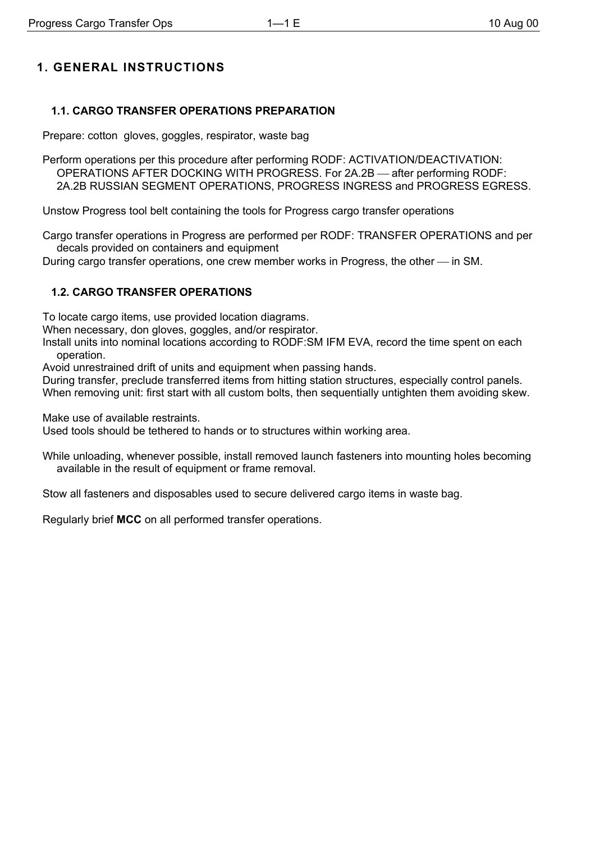## **1. GENERAL INSTRUCTIONS**

## **1.1. CARGO TRANSFER OPERATIONS PREPARATION**

Prepare: cotton gloves, goggles, respirator, waste bag

Perform operations per this procedure after performing RODF: ACTIVATION/DEACTIVATION: OPERATIONS AFTER DOCKING WITH PROGRESS. For 2A.2B - after performing RODF: 2A.2B RUSSIAN SEGMENT OPERATIONS, PROGRESS INGRESS and PROGRESS EGRESS.

Unstow Progress tool belt containing the tools for Progress cargo transfer operations

Cargo transfer operations in Progress are performed per RODF: TRANSFER OPERATIONS and per decals provided on containers and equipment

During cargo transfer operations, one crew member works in Progress, the other — in SM.

### **1.2. CARGO TRANSFER OPERATIONS**

To locate cargo items, use provided location diagrams.

When necessary, don gloves, goggles, and/or respirator.

Install units into nominal locations according to RODF:SM IFM EVA, record the time spent on each operation.

Avoid unrestrained drift of units and equipment when passing hands.

During transfer, preclude transferred items from hitting station structures, especially control panels.

When removing unit: first start with all custom bolts, then sequentially untighten them avoiding skew.

Make use of available restraints.

Used tools should be tethered to hands or to structures within working area.

While unloading, whenever possible, install removed launch fasteners into mounting holes becoming available in the result of equipment or frame removal.

Stow all fasteners and disposables used to secure delivered cargo items in waste bag.

Regularly brief **MCC** on all performed transfer operations.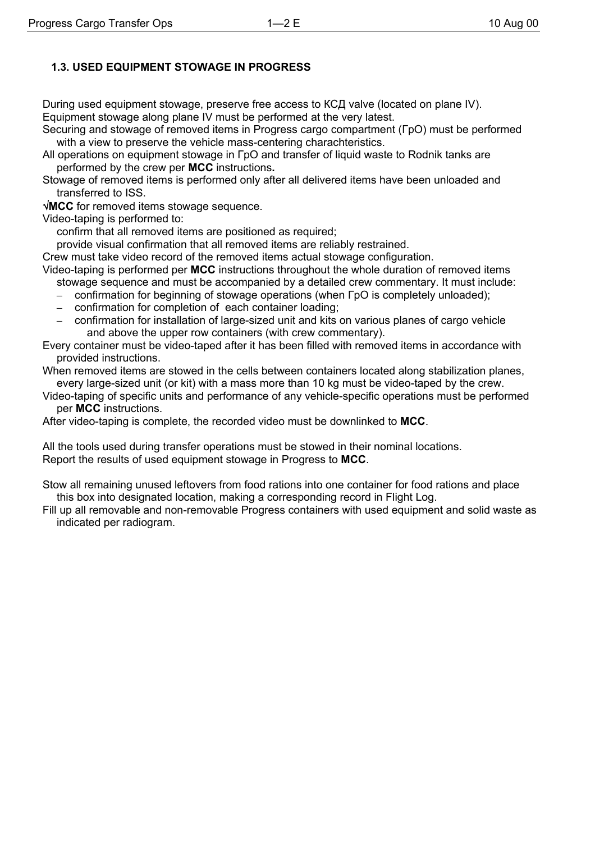## **1.3. USED EQUIPMENT STOWAGE IN PROGRESS**

During used equipment stowage, preserve free access to КСД valve (located on plane IV). Equipment stowage along plane IV must be performed at the very latest.

Securing and stowage of removed items in Progress cargo compartment (ГрО) must be performed with a view to preserve the vehicle mass-centering charachteristics.

- All operations on equipment stowage in ГрО and transfer of liquid waste to Rodnik tanks are performed by the crew per **MCC** instructions**.**
- Stowage of removed items is performed only after all delivered items have been unloaded and transferred to ISS.

√**MCC** for removed items stowage sequence.

Video-taping is performed to:

confirm that all removed items are positioned as required;

provide visual confirmation that all removed items are reliably restrained.

Crew must take video record of the removed items actual stowage configuration.

Video-taping is performed per **MCC** instructions throughout the whole duration of removed items

- stowage sequence and must be accompanied by a detailed crew commentary. It must include:
- confirmation for beginning of stowage operations (when ГрО is completely unloaded);
- confirmation for completion of each container loading;
- confirmation for installation of large-sized unit and kits on various planes of cargo vehicle and above the upper row containers (with crew commentary).

Every container must be video-taped after it has been filled with removed items in accordance with provided instructions.

When removed items are stowed in the cells between containers located along stabilization planes, every large-sized unit (or kit) with a mass more than 10 kg must be video-taped by the crew.

Video-taping of specific units and performance of any vehicle-specific operations must be performed per **MCC** instructions.

After video-taping is complete, the recorded video must be downlinked to **MCC**.

All the tools used during transfer operations must be stowed in their nominal locations. Report the results of used equipment stowage in Progress to **MCC**.

Stow all remaining unused leftovers from food rations into one container for food rations and place this box into designated location, making a corresponding record in Flight Log.

Fill up all removable and non-removable Progress containers with used equipment and solid waste as indicated per radiogram.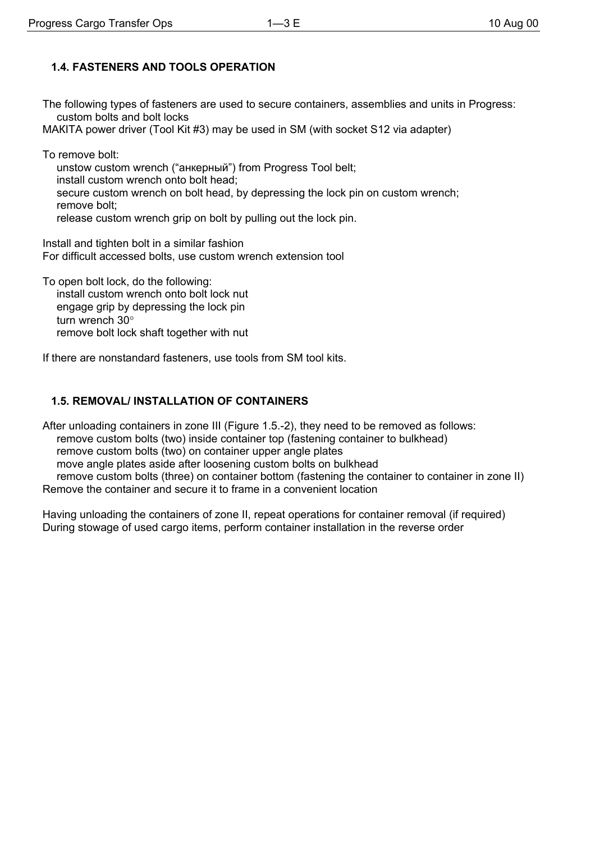## **1.4. FASTENERS AND TOOLS OPERATION**

The following types of fasteners are used to secure containers, assemblies and units in Progress: custom bolts and bolt locks

МАКIТА power driver (Tool Kit #3) may be used in SM (with socket S12 via adapter)

To remove bolt:

unstow custom wrench ("анкерный") from Progress Tool belt; install custom wrench onto bolt head; secure custom wrench on bolt head, by depressing the lock pin on custom wrench; remove bolt; release custom wrench grip on bolt by pulling out the lock pin.

Install and tighten bolt in a similar fashion For difficult accessed bolts, use custom wrench extension tool

To open bolt lock, do the following: install custom wrench onto bolt lock nut engage grip by depressing the lock pin turn wrench 30° remove bolt lock shaft together with nut

If there are nonstandard fasteners, use tools from SM tool kits.

### **1.5. REMOVAL/ INSTALLATION OF CONTAINERS**

After unloading containers in zone III (Figure 1.5.-2), they need to be removed as follows: remove custom bolts (two) inside container top (fastening container to bulkhead) remove custom bolts (two) on container upper angle plates move angle plates aside after loosening custom bolts on bulkhead remove custom bolts (three) on container bottom (fastening the container to container in zone II) Remove the container and secure it to frame in a convenient location

Having unloading the containers of zone II, repeat operations for container removal (if required) During stowage of used cargo items, perform container installation in the reverse order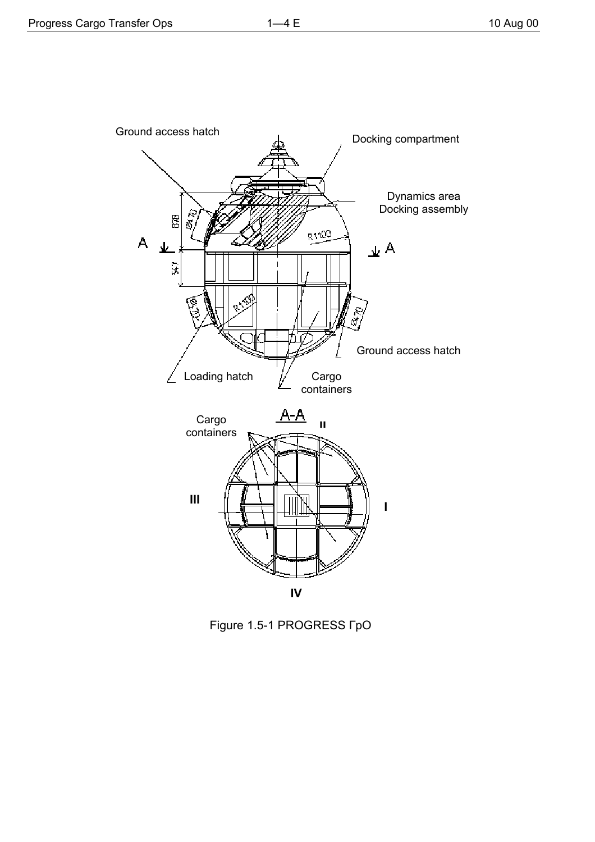

Figure 1.5-1 PROGRESS FpO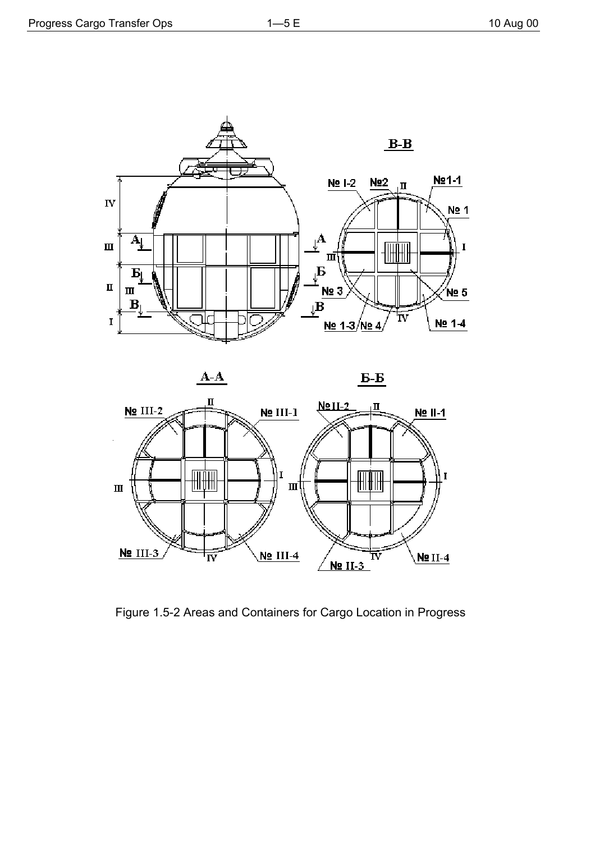



Figure 1.5-2 Areas and Containers for Cargo Location in Progress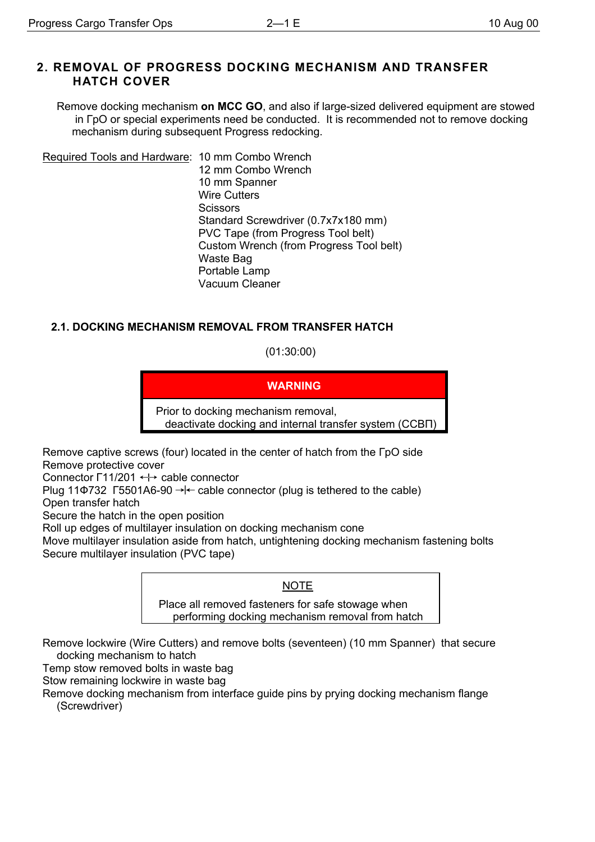## **2. REMOVAL OF PROGRESS DOCKING MECHANISM AND TRANSFER HATCH COVER**

Remove docking mechanism **on MCC GO**, and also if large-sized delivered equipment are stowed in ГрО or special experiments need be conducted. It is recommended not to remove docking mechanism during subsequent Progress redocking.

Required Tools and Hardware: 10 mm Combo Wrench 12 mm Combo Wrench 10 mm Spanner Wire Cutters **Scissors** Standard Screwdriver (0.7х7х180 mm) PVC Tape (from Progress Tool belt) Custom Wrench (from Progress Tool belt) Waste Bag Portable Lamp Vacuum Cleaner

## **2.1. DOCKING MECHANISM REMOVAL FROM TRANSFER HATCH**

(01:30:00)

**WARNING**

Prior to docking mechanism removal, deactivate docking and internal transfer system (ССВП)

Remove captive screws (four) located in the center of hatch from the ГрО side Remove protective cover

Connector  $\Gamma$ 11/201  $\leftrightarrow$  cable connector

Plug 11Ф732 Г5501А6-90  $\rightarrow$  cable connector (plug is tethered to the cable)

Open transfer hatch

Secure the hatch in the open position

Roll up edges of multilayer insulation on docking mechanism cone

Move multilayer insulation aside from hatch, untightening docking mechanism fastening bolts Secure multilayer insulation (PVC tape)

### NOTE

Place all removed fasteners for safe stowage when performing docking mechanism removal from hatch

Remove lockwire (Wire Cutters) and remove bolts (seventeen) (10 mm Spanner) that secure docking mechanism to hatch

Temp stow removed bolts in waste bag

Stow remaining lockwire in waste bag

Remove docking mechanism from interface guide pins by prying docking mechanism flange (Screwdriver)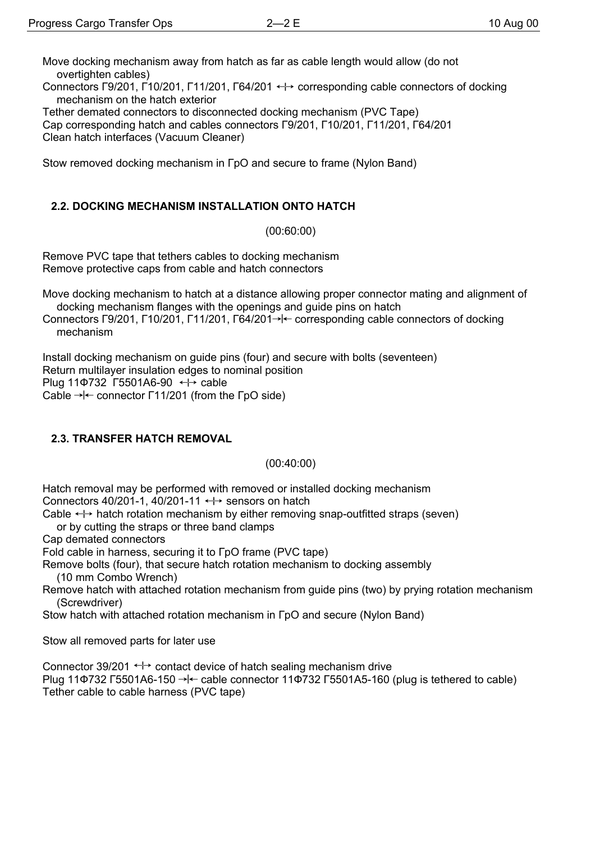Move docking mechanism away from hatch as far as cable length would allow (do not overtighten cables)

Connectors Г9/201, Г10/201, Г11/201, Г64/201  $\leftrightarrow$  corresponding cable connectors of docking mechanism on the hatch exterior

Tether demated connectors to disconnected docking mechanism (PVC Tape) Cap corresponding hatch and cables connectors Г9/201, Г10/201, Г11/201, Г64/201 Clean hatch interfaces (Vacuum Cleaner)

Stow removed docking mechanism in  $\Gamma$ pO and secure to frame (Nylon Band)

## **2.2. DOCKING MECHANISM INSTALLATION ONTO HATCH**

(00:60:00)

Remove PVC tape that tethers cables to docking mechanism Remove protective caps from cable and hatch connectors

Move docking mechanism to hatch at a distance allowing proper connector mating and alignment of docking mechanism flanges with the openings and guide pins on hatch

Connectors  $\Gamma$ 9/201,  $\Gamma$ 10/201,  $\Gamma$ 11/201,  $\Gamma$ 64/201 $\rightarrow$  corresponding cable connectors of docking mechanism

Install docking mechanism on guide pins (four) and secure with bolts (seventeen) Return multilayer insulation edges to nominal position Plug 11 $\Phi$ 732 Г5501А6-90  $\leftrightarrow$  cable Cable  $\rightarrow$   $\leftarrow$  connector  $\lceil 11/201 \rceil$  (from the  $\lceil pO \rceil$  side)

### **2.3. TRANSFER HATCH REMOVAL**

(00:40:00)

Hatch removal may be performed with removed or installed docking mechanism Connectors 40/201-1, 40/201-11  $\leftrightarrow$  sensors on hatch

Cable  $\leftrightarrow$  hatch rotation mechanism by either removing snap-outfitted straps (seven)

or by cutting the straps or three band clamps

Cap demated connectors

Fold cable in harness, securing it to ГрО frame (PVC tape)

Remove bolts (four), that secure hatch rotation mechanism to docking assembly (10 mm Combo Wrench)

Remove hatch with attached rotation mechanism from guide pins (two) by prying rotation mechanism (Screwdriver)

Stow hatch with attached rotation mechanism in ГрО and secure (Nylon Band)

Stow all removed parts for later use

Connector 39/201  $\leftrightarrow$  contact device of hatch sealing mechanism drive Plug 11 $\Phi$ 732 Г5501A6-150  $\rightarrow$  cable connector 11 $\Phi$ 732 Г5501A5-160 (plug is tethered to cable) Tether cable to cable harness (PVC tape)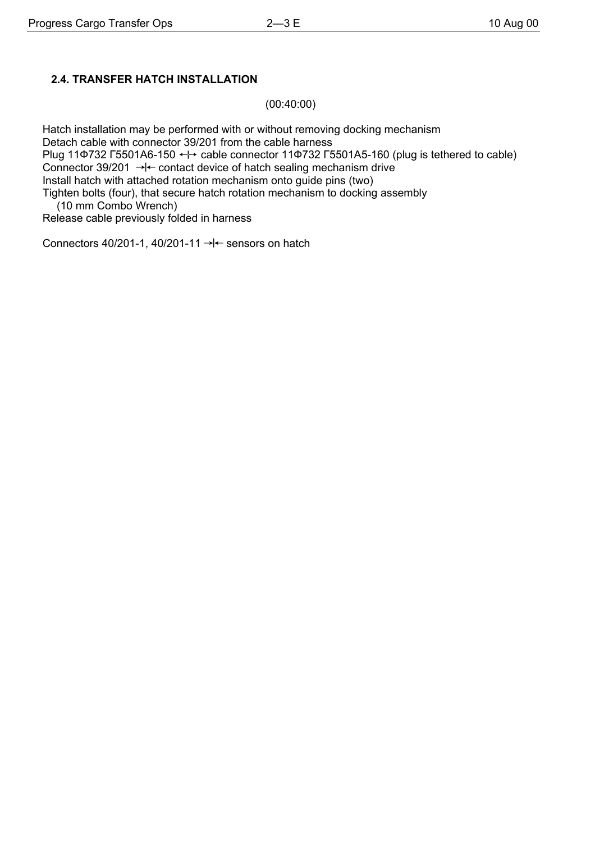## **2.4. TRANSFER HATCH INSTALLATION**

(00:40:00)

Hatch installation may be performed with or without removing docking mechanism Detach cable with connector 39/201 from the cable harness Plug 11Ф732 Г5501А6-150  $\leftrightarrow$  cable connector 11Ф732 Г5501А5-160 (plug is tethered to cable) Connector 39/201  $\rightarrow$  contact device of hatch sealing mechanism drive Install hatch with attached rotation mechanism onto guide pins (two) Tighten bolts (four), that secure hatch rotation mechanism to docking assembly

(10 mm Combo Wrench)

Release cable previously folded in harness

Connectors 40/201-1, 40/201-11  $\rightarrow$   $\leftarrow$  sensors on hatch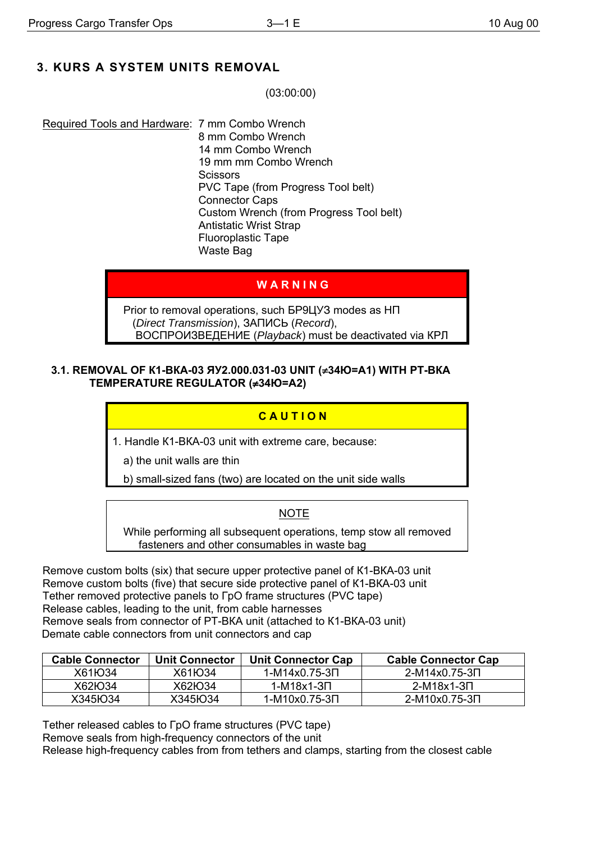# 3. KURS A SYSTEM UNITS REMOVAL

 $(03:00:00)$ 

Required Tools and Hardware: 7 mm Combo Wrench 8 mm Combo Wrench 14 mm Combo Wrench 19 mm mm Combo Wrench Scissors PVC Tape (from Progress Tool belt) **Connector Caps** Custom Wrench (from Progress Tool belt) **Antistatic Wrist Strap Fluoroplastic Tape** Waste Bag

## WARNING

Prior to removal operations, such 5P9LJY3 modes as HN (Direct Transmission), 3ANUCb (Record), ВОСПРОИЗВЕДЕНИЕ (Playback) must be deactivated via КРЛ

#### 3.1. REMOVAL OF K1-BKA-03 ЯУ2.000.031-03 UNIT (≠34Ю=А1) WITH PT-BKA TEMPERATURE REGULATOR (≠34Ю=А2)

## CAUTION

1. Handle K1-BKA-03 unit with extreme care, because:

a) the unit walls are thin

b) small-sized fans (two) are located on the unit side walls

## **NOTE**

While performing all subsequent operations, temp stow all removed fasteners and other consumables in waste bag

Remove custom bolts (six) that secure upper protective panel of K1-BKA-03 unit Remove custom bolts (five) that secure side protective panel of K1-BKA-03 unit Tether removed protective panels to  $\Gamma$ pO frame structures (PVC tape) Release cables, leading to the unit, from cable harnesses Remove seals from connector of PT-BKA unit (attached to K1-BKA-03 unit) Demate cable connectors from unit connectors and cap

| <b>Cable Connector</b>           | <b>Unit Connector</b> | <b>Unit Connector Cap</b> | <b>Cable Connector Cap</b> |
|----------------------------------|-----------------------|---------------------------|----------------------------|
| X61 <sub>H</sub> O <sub>34</sub> | X61 H 34              | 1-M14x0.75-3∏             | 2-M14x0.75-3∏              |
| X62H034                          | X62H <sub>0</sub> 34  | 1-M18x1-3Π                | 2-M18x1-3D                 |
| X345Ю34                          | X345IO34              | 1-M10x0.75-3Π             | 2-M10x0.75-3N              |

Tether released cables to  $\Gamma$ pO frame structures (PVC tape) Remove seals from high-frequency connectors of the unit Release high-frequency cables from from tethers and clamps, starting from the closest cable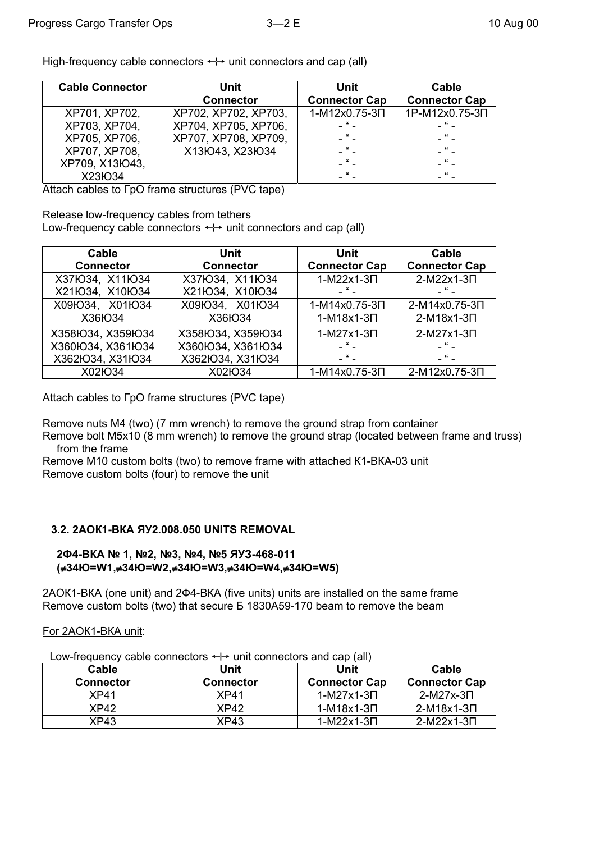High-frequency cable connectors  $\leftrightarrow$  unit connectors and cap (all)

| <b>Cable Connector</b> | Unit                 | Unit                 | Cable                |
|------------------------|----------------------|----------------------|----------------------|
|                        | <b>Connector</b>     | <b>Connector Cap</b> | <b>Connector Cap</b> |
| XP701, XP702,          | XP702, XP702, XP703, | 1-M12x0.75-3N        | 1P-M12x0.75-3N       |
| XP703, XP704,          | XP704, XP705, XP706, | $-$ " $-$            | $-$ " $-$            |
| XP705, XP706,          | XP707, XP708, XP709, | $-$ " $-$            | $ \alpha$ $-$        |
| XP707, XP708,          | X13lO43, X23lO34     | $ \mu$ $-$           | $ \frac{u}{-}$       |
| XP709, X13lO43,        |                      | $ \frac{u}{-}$       | $-$ " $-$            |
| X23IO34                |                      | $ \alpha$ $-$        | $\mathbf{u}$         |

Attach cables to FpO frame structures (PVC tape)

Release low-frequency cables from tethers

Low-frequency cable connectors  $\leftrightarrow$  unit connectors and cap (all)

| Cable<br><b>Connector</b> | Unit<br><b>Connector</b> | Unit<br><b>Connector Cap</b> | Cable<br><b>Connector Cap</b> |
|---------------------------|--------------------------|------------------------------|-------------------------------|
| X37lO34, X11lO34          | X37IO34, X11IO34         | 1-M22x1-3 <sub>U</sub>       | 2-M22x1-3N                    |
| X21lO34, X10lO34          | X21IO34, X10IO34         | $-$ " $-$                    | $-$ " $-$                     |
| X09Ю34, X01Ю34            | X09lO34, X01lO34         | 1-M14x0.75-3N                | 2-M14x0.75-3N                 |
| X36IO34                   | X36IO34                  | 1-M18x1-3 <sub>U</sub>       | 2-M18x1-3N                    |
| X358IO34, X359IO34        | X358IO34, X359IO34       | 1-M27x1-3 <sub>U</sub>       | 2-M27x1-3N                    |
| X360lO34, X361lO34        | X360IO34, X361IO34       | $-$ " $-$                    | $-$ " $-$                     |
| X362IO34, X31IO34         | X362IO34, X31IO34        | $ \mu$ $-$                   | $-$ " $-$                     |
| X02IO34                   | X02IO34                  | 1-M14x0.75-3N                | 2-M12x0.75-3N                 |

Attach cables to  $\Gamma$ pO frame structures (PVC tape)

Remove nuts M4 (two) (7 mm wrench) to remove the ground strap from container

Remove bolt M5x10 (8 mm wrench) to remove the ground strap (located between frame and truss) from the frame

Remove M10 custom bolts (two) to remove frame with attached K1-BKA-03 unit Remove custom bolts (four) to remove the unit

### 3.2. 2AOK1-BKA ЯУ2.008.050 UNITS REMOVAL

#### 2Φ4-BKA № 1, №2, №3, №4, №5 ЯУЗ-468-011 (≠34łO=W1,≠34łO=W2,≠34łO=W3,≠34łO=W4,≠34łO=W5)

2AOK1-BKA (one unit) and 2 $\Phi$ 4-BKA (five units) units are installed on the same frame Remove custom bolts (two) that secure E 1830A59-170 beam to remove the beam

For 2AOK1-BKA unit:

Low-frequency cable connectors  $\leftrightarrow$  unit connectors and cap (all)

| Cable<br><b>Connector</b> | Unit<br>Connector | Unit<br><b>Connector Cap</b> | Cable<br><b>Connector Cap</b> |
|---------------------------|-------------------|------------------------------|-------------------------------|
| XP41                      | XP41              | $1-M27x1-3\Pi$               | 2-M27x-3∏                     |
| XP42                      | XP42              | 1-M18x1-3∏                   | 2-M18x1-3∏                    |
| XP43                      | XP43              | $1-M22x1-3\Pi$               | 2-M22x1-3∏                    |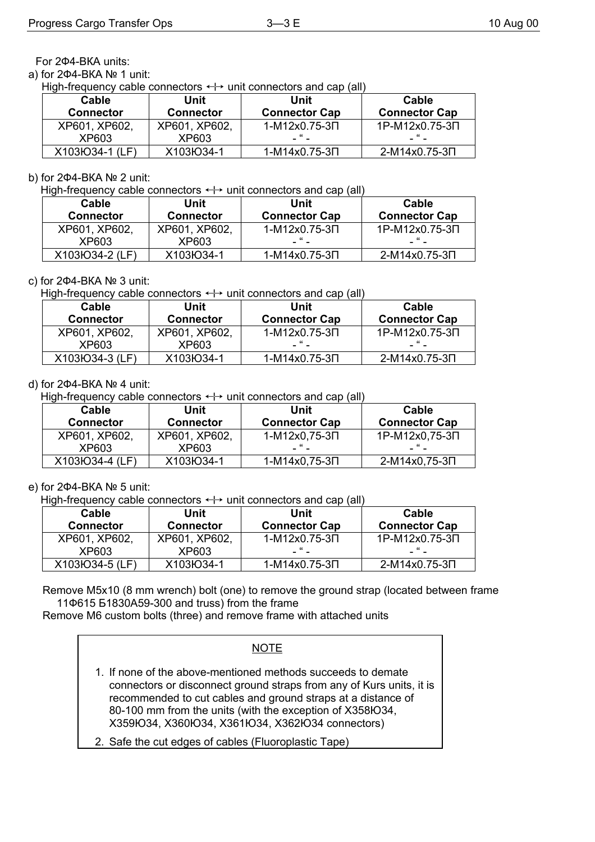For 2Ф4-ВКА units:

а) for 2Ф4-ВКА № 1 unit:

High-frequency cable connectors  $\leftrightarrow$  unit connectors and cap (all)

| Cable<br><b>Connector</b> | Unit<br><b>Connector</b> | Unit<br><b>Connector Cap</b> | Cable<br><b>Connector Cap</b> |
|---------------------------|--------------------------|------------------------------|-------------------------------|
| XP601, XP602,             | XP601, XP602.            | 1-M12x0.75-3N                | 1P-M12x0.75-3N                |
| XP603                     | XP603                    | -                            |                               |
| X103IO34-1 (LF)           | X103IO34-1               | 1-M14x0.75-3∏                | 2-M14x0.75-3N                 |

#### b) for 2Ф4-ВКА № 2 unit:

High-frequency cable connectors  $\leftrightarrow$  unit connectors and cap (all)

| Cable            | Unit             | Unit                 | Cable                |
|------------------|------------------|----------------------|----------------------|
| <b>Connector</b> | <b>Connector</b> | <b>Connector Cap</b> | <b>Connector Cap</b> |
| XP601, XP602,    | XP601, XP602,    | 1-M12x0.75-3∏        | 1P-M12x0.75-3N       |
| XP603            | XP603            | - " -                |                      |
| X103lO34-2 (LF)  | X103IO34-1       | 1-M14x0.75-3∏        | 2-M14x0.75-3N        |

#### c) for 2Ф4-ВКА № 3 unit:

High-frequency cable connectors  $\leftrightarrow$  unit connectors and cap (all)

| Cable            | Unit             | Unit                 | Cable                |
|------------------|------------------|----------------------|----------------------|
| <b>Connector</b> | <b>Connector</b> | <b>Connector Cap</b> | <b>Connector Cap</b> |
| XP601, XP602.    | XP601, XP602,    | 1-M12x0.75-3∏        | 1P-M12x0.75-3N       |
| XP603            | XP603            | - " -                |                      |
| X103IO34-3 (LF)  | X103IO34-1       | 1-M14x0.75-3∏        | 2-M14x0.75-3∏        |

#### d) for 2Ф4-ВКА № 4 unit:

High-frequency cable connectors  $\leftrightarrow$  unit connectors and cap (all)

| Cable            | Unit             | Unit                 | Cable                |
|------------------|------------------|----------------------|----------------------|
| <b>Connector</b> | <b>Connector</b> | <b>Connector Cap</b> | <b>Connector Cap</b> |
| XP601, XP602,    | XP601, XP602,    | 1-M12x0,75-3N        | 1P-M12x0,75-3N       |
| XP603            | XP603            | - " -                |                      |
| X103IO34-4 (LF)  | X103IO34-1       | 1-M14x0,75-3∏        | 2-M14x0,75-3N        |

#### e) for 2Ф4-ВКА № 5 unit:

High-frequency cable connectors  $\leftrightarrow$  unit connectors and cap (all)

| Cable<br><b>Connector</b> | Unit<br><b>Connector</b> | Unit<br><b>Connector Cap</b> | Cable<br><b>Connector Cap</b> |
|---------------------------|--------------------------|------------------------------|-------------------------------|
| XP601, XP602,             | XP601, XP602,            | 1-M12x0.75-3∏                | 1P-M12x0.75-3N                |
| XP603                     | XP603                    | - " -                        |                               |
| X103IO34-5 (LF)           | X103IO34-1               | 1-M14x0.75-3∏                | 2-M14x0.75-3∏                 |

Remove М5х10 (8 mm wrench) bolt (one) to remove the ground strap (located between frame 11Ф615 Б1830А59-300 and truss) from the frame

Remove М6 custom bolts (three) and remove frame with attached units

#### NOTE

- 1. If none of the above-mentioned methods succeeds to demate connectors or disconnect ground straps from any of Kurs units, it is recommended to cut cables and ground straps at a distance of 80-100 mm from the units (with the exception of Х358Ю34, Х359Ю34, Х360Ю34, Х361Ю34, Х362Ю34 connectors)
- 2. Safe the cut edges of cables (Fluoroplastic Tape)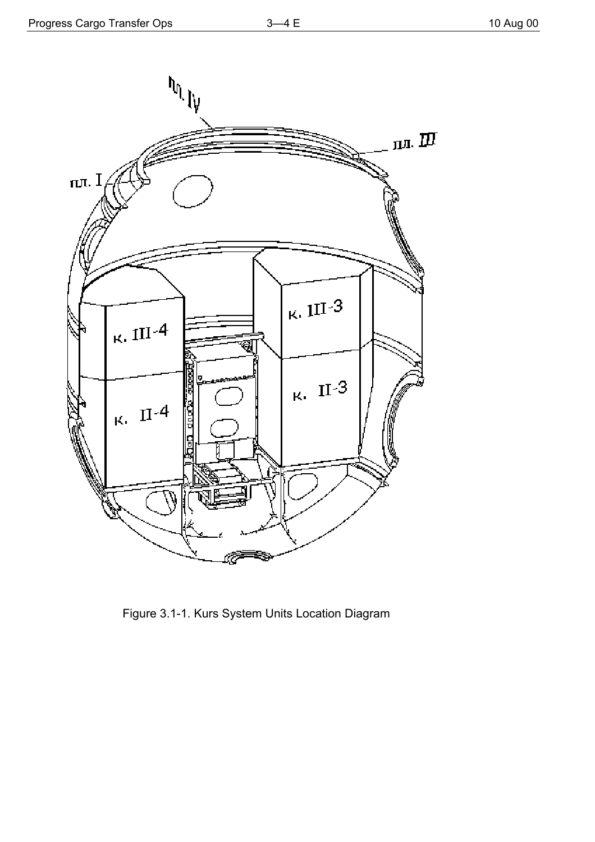

Figure 3.1-1. Kurs System Units Location Diagram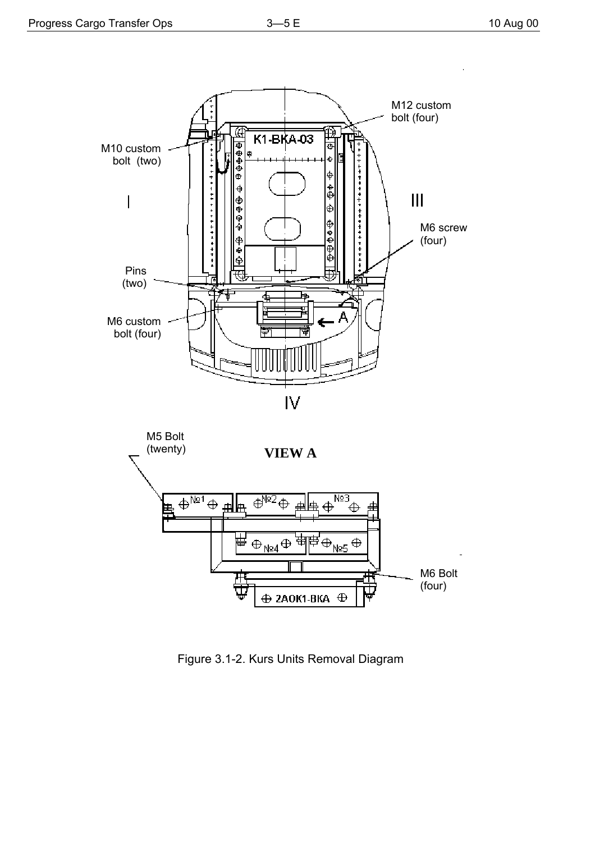



Figure 3.1-2. Kurs Units Removal Diagram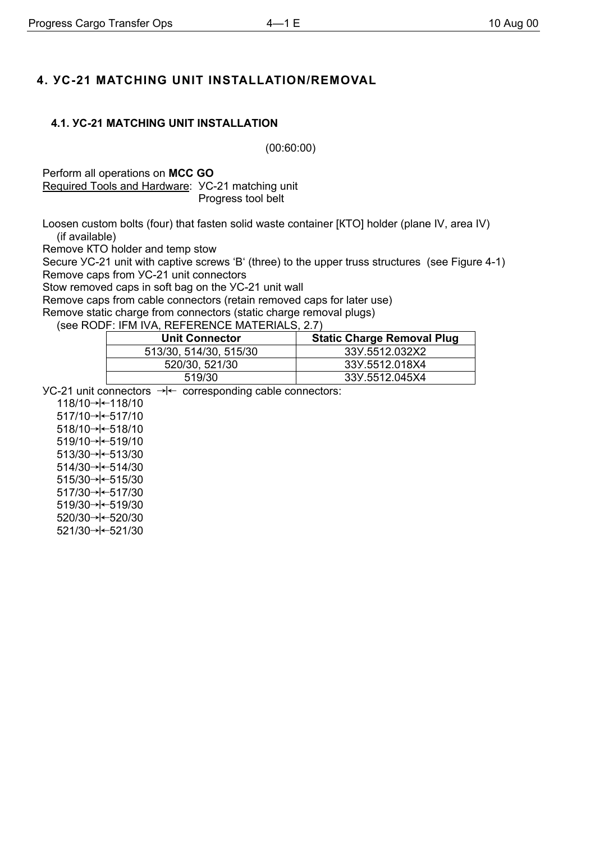# **4. УС-21 MATCHING UNIT INSTALLATION/REMOVAL**

## **4.1. УС-21 MATCHING UNIT INSTALLATION**

(00:60:00)

Perform all operations on **MCC GO** Required Tools and Hardware: УС-21 matching unit Progress tool belt

Loosen custom bolts (four) that fasten solid waste container [КТО] holder (plane IV, area IV) (if available)

Remove КТО holder and temp stow

Secure УС-21 unit with captive screws 'B' (three) to the upper truss structures (see Figure 4-1) Remove caps from УС-21 unit connectors

Stow removed caps in soft bag on the УС-21 unit wall

Remove caps from cable connectors (retain removed caps for later use)

Remove static charge from connectors (static charge removal plugs)

(see RODF: IFM IVA, REFERENCE MATERIALS, 2.7)

| <b>Unit Connector</b>  | <b>Static Charge Removal Plug</b> |
|------------------------|-----------------------------------|
| 513/30, 514/30, 515/30 | 33Y.5512.032X2                    |
| 520/30, 521/30         | 33Y.5512.018X4                    |
| 519/30                 | 33Y.5512.045X4                    |

 $YC-21$  unit connectors  $\rightarrow<sub>+</sub>$  corresponding cable connectors:

118/10→  $+$  118/10  $517/10 \rightarrow 517/10$  $518/10 \rightarrow 518/10$  $519/10 \rightarrow 519/10$ 513/30→  $\leftarrow$  513/30 514/30→  $\leftarrow$  514/30  $515/30 \rightarrow 515/30$ 517/30→  $\leftarrow$  517/30  $519/30 \rightarrow 519/30$ 520/30→  $\leftarrow$  520/30 521/30→  $\leftarrow$  521/30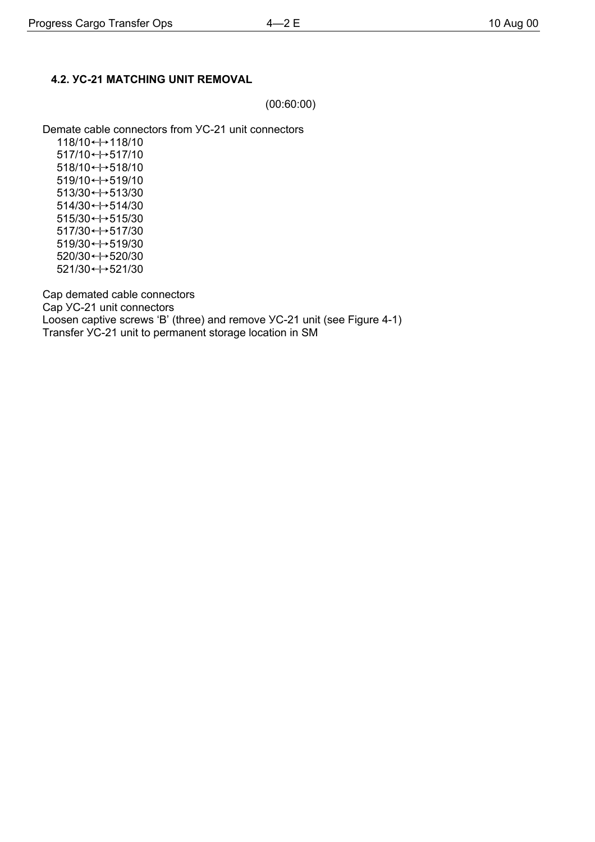(00:60:00)

Demate cable connectors from УС-21 unit connectors

118/10 ← 118/10 517/10"517/10 518/10"518/10 519/10"519/10 513/30"513/30 514/30"514/30  $515/30 \leftrightarrow 515/30$ 517/30 ← 517/30 519/30 ← + 519/30 520/30"520/30  $521/30 \leftrightarrow 521/30$ 

Cap demated cable connectors Cap УС-21 unit connectors Loosen captive screws 'B' (three) and remove УС-21 unit (see Figure 4-1) Transfer УС-21 unit to permanent storage location in SM